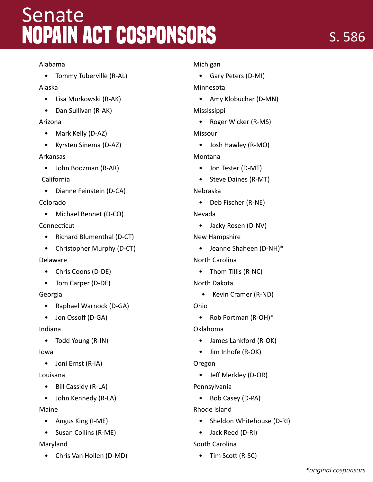# **NOPAIN Act Cosponsors** Senate

#### Alabama

• Tommy Tuberville (R-AL)

#### Alaska

- Lisa Murkowski (R-AK)
- Dan Sullivan (R-AK)

### Arizona

- Mark Kelly (D-AZ)
- Kyrsten Sinema (D-AZ)

#### Arkansas

- John Boozman (R-AR)
- California
- Dianne Feinstein (D-CA)

## Colorado

• Michael Bennet (D-CO)

## Connecticut

- Richard Blumenthal (D-CT)
- Christopher Murphy (D-CT)

### Delaware

- Chris Coons (D-DE)
- Tom Carper (D-DE)

# Georgia

- Raphael Warnock (D-GA)
- Jon Ossoff (D-GA)

# Indiana

• Todd Young (R-IN)

### Iowa

• Joni Ernst (R-IA)

# Louisana

- Bill Cassidy (R-LA)
- John Kennedy (R-LA)

# Maine

- Angus King (I-ME)
- Susan Collins (R-ME)

# Maryland

• Chris Van Hollen (D-MD)

### Michigan

• Gary Peters (D-MI)

# Minnesota

• Amy Klobuchar (D-MN)

Mississippi

• Roger Wicker (R-MS)

# Missouri

• Josh Hawley (R-MO)

# Montana

- Jon Tester (D-MT)
- Steve Daines (R-MT)

# Nebraska

• Deb Fischer (R-NE)

# Nevada

• Jacky Rosen (D-NV)

# New Hampshire

- Jeanne Shaheen (D-NH)\*
- North Carolina
	- Thom Tillis (R-NC)
- North Dakota
	- Kevin Cramer (R-ND)

Ohio

• Rob Portman (R-OH)\*

# Oklahoma

- James Lankford (R-OK)
- Jim Inhofe (R-OK)

# Oregon

• Jeff Merkley (D-OR)

# Pennsylvania

• Bob Casey (D-PA)

# Rhode Island

- Sheldon Whitehouse (D-RI)
- Jack Reed (D-RI)

# South Carolina

• Tim Scott (R-SC)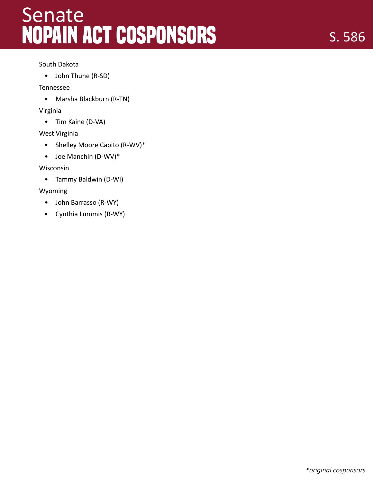# **NOPAIN Act Cosponsors Senate**

#### South Dakota

• John Thune (R-SD)

#### Tennessee

• Marsha Blackburn (R-TN)

#### Virginia

• Tim Kaine (D-VA)

#### West Virginia

- Shelley Moore Capito (R-WV)\*
- Joe Manchin (D-WV)\*

#### Wisconsin

• Tammy Baldwin (D-WI)

#### Wyoming

- John Barrasso (R-WY)
- Cynthia Lummis (R-WY)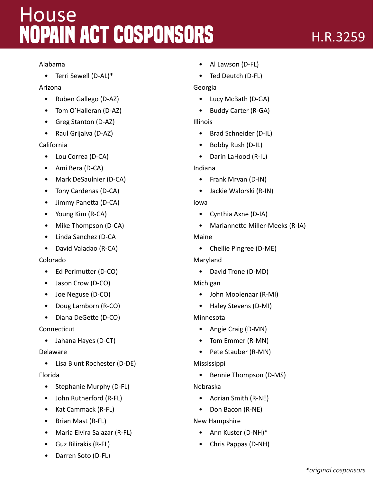# **NOPAIN Act Cosponsors House**

#### Alabama

• Terri Sewell (D-AL)\*

### Arizona

- Ruben Gallego (D-AZ)
- Tom O'Halleran (D-AZ)
- Greg Stanton (D-AZ)
- Raul Grijalva (D-AZ)

## California

- Lou Correa (D-CA)
- Ami Bera (D-CA)
- Mark DeSaulnier (D-CA)
- Tony Cardenas (D-CA)
- Jimmy Panetta (D-CA)
- Young Kim (R-CA)
- Mike Thompson (D-CA)
- Linda Sanchez (D-CA
- David Valadao (R-CA)

### Colorado

- Ed Perlmutter (D-CO)
- Jason Crow (D-CO)
- Joe Neguse (D-CO)
- Doug Lamborn (R-CO)
- Diana DeGette (D-CO)

### Connecticut

• Jahana Hayes (D-CT)

### Delaware

• Lisa Blunt Rochester (D-DE)

### Florida

- Stephanie Murphy (D-FL)
- John Rutherford (R-FL)
- Kat Cammack (R-FL)
- Brian Mast (R-FL)
- Maria Elvira Salazar (R-FL)
- Guz Bilirakis (R-FL)
- Darren Soto (D-FL)
- Al Lawson (D-FL)
- Ted Deutch (D-FL)

## Georgia

- Lucy McBath (D-GA)
- Buddy Carter (R-GA)

## Illinois

- Brad Schneider (D-IL)
- Bobby Rush (D-IL)
- Darin LaHood (R-IL)

## Indiana

- Frank Mrvan (D-IN)
- Jackie Walorski (R-IN)

### Iowa

- Cynthia Axne (D-IA)
- Mariannette Miller-Meeks (R-IA)

### Maine

• Chellie Pingree (D-ME)

### Maryland

• David Trone (D-MD)

### Michigan

- John Moolenaar (R-MI)
- Haley Stevens (D-MI)

### Minnesota

- Angie Craig (D-MN)
- Tom Emmer (R-MN)
- Pete Stauber (R-MN)

### Mississippi

• Bennie Thompson (D-MS)

### Nebraska

- Adrian Smith (R-NE)
- Don Bacon (R-NE)

### New Hampshire

- Ann Kuster (D-NH)\*
- Chris Pappas (D-NH)